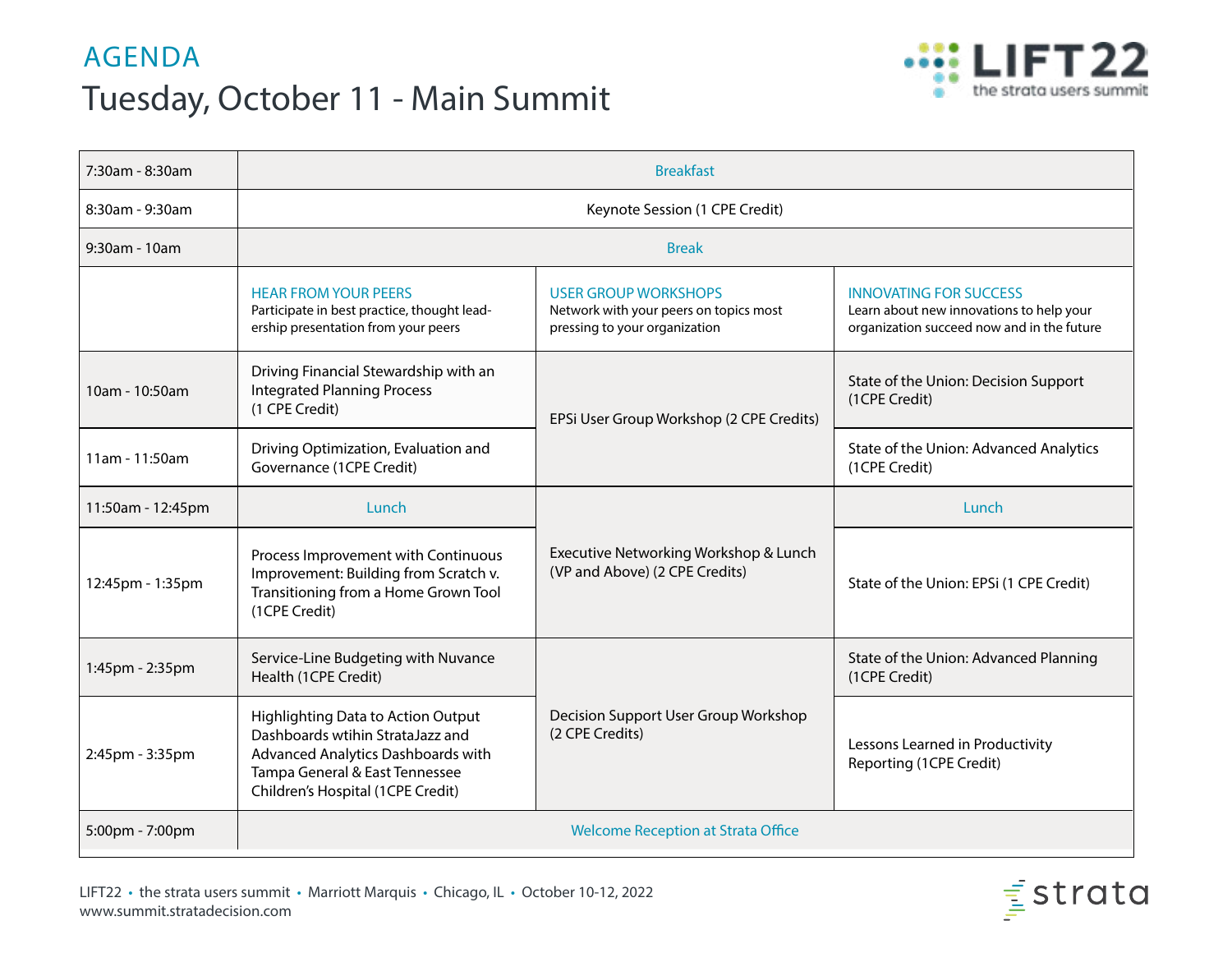## AGENDA Tuesday, October 11 - Main Summit



| 7:30am - 8:30am   | <b>Breakfast</b>                                                                                                                                                                           |                                                                                                        |                                                                                                                         |
|-------------------|--------------------------------------------------------------------------------------------------------------------------------------------------------------------------------------------|--------------------------------------------------------------------------------------------------------|-------------------------------------------------------------------------------------------------------------------------|
| 8:30am - 9:30am   | Keynote Session (1 CPE Credit)                                                                                                                                                             |                                                                                                        |                                                                                                                         |
| $9:30$ am - 10am  | <b>Break</b>                                                                                                                                                                               |                                                                                                        |                                                                                                                         |
|                   | <b>HEAR FROM YOUR PEERS</b><br>Participate in best practice, thought lead-<br>ership presentation from your peers                                                                          | <b>USER GROUP WORKSHOPS</b><br>Network with your peers on topics most<br>pressing to your organization | <b>INNOVATING FOR SUCCESS</b><br>Learn about new innovations to help your<br>organization succeed now and in the future |
| 10am - 10:50am    | Driving Financial Stewardship with an<br><b>Integrated Planning Process</b><br>(1 CPE Credit)                                                                                              | EPSi User Group Workshop (2 CPE Credits)                                                               | State of the Union: Decision Support<br>(1CPE Credit)                                                                   |
| 11am - 11:50am    | Driving Optimization, Evaluation and<br>Governance (1CPE Credit)                                                                                                                           |                                                                                                        | State of the Union: Advanced Analytics<br>(1CPE Credit)                                                                 |
| 11:50am - 12:45pm | Lunch                                                                                                                                                                                      | Executive Networking Workshop & Lunch<br>(VP and Above) (2 CPE Credits)                                | Lunch                                                                                                                   |
| 12:45pm - 1:35pm  | Process Improvement with Continuous<br>Improvement: Building from Scratch v.<br>Transitioning from a Home Grown Tool<br>(1CPE Credit)                                                      |                                                                                                        | State of the Union: EPSi (1 CPE Credit)                                                                                 |
| 1:45pm - 2:35pm   | Service-Line Budgeting with Nuvance<br>Health (1CPE Credit)                                                                                                                                | Decision Support User Group Workshop<br>(2 CPE Credits)                                                | State of the Union: Advanced Planning<br>(1CPE Credit)                                                                  |
| 2:45pm - 3:35pm   | <b>Highlighting Data to Action Output</b><br>Dashboards wtihin StrataJazz and<br>Advanced Analytics Dashboards with<br>Tampa General & East Tennessee<br>Children's Hospital (1CPE Credit) |                                                                                                        | Lessons Learned in Productivity<br>Reporting (1CPE Credit)                                                              |
| 5:00pm - 7:00pm   | <b>Welcome Reception at Strata Office</b>                                                                                                                                                  |                                                                                                        |                                                                                                                         |